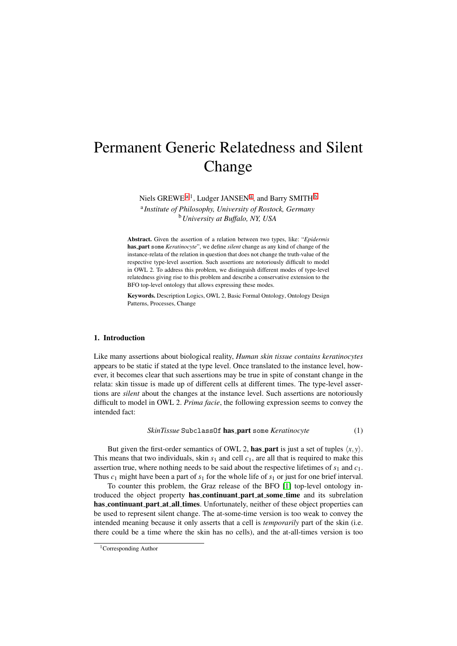# Permanent Generic Relatedness and Silent Change

<span id="page-0-0"></span>Niels GREWE<sup>[a](#page-0-0),1</sup>, Ludger JANSEN<sup>a</sup>, and Barry SMITH<sup>[b](#page-0-1)</sup>

a *Institute of Philosophy, University of Rostock, Germany* <sup>b</sup>*University at Buffalo, NY, USA*

<span id="page-0-1"></span>Abstract. Given the assertion of a relation between two types, like: "*Epidermis* has part some *Keratinocyte*", we define *silent* change as any kind of change of the instance-relata of the relation in question that does not change the truth-value of the respective type-level assertion. Such assertions are notoriously difficult to model in OWL 2. To address this problem, we distinguish different modes of type-level relatedness giving rise to this problem and describe a conservative extension to the BFO top-level ontology that allows expressing these modes.

Keywords. Description Logics, OWL 2, Basic Formal Ontology, Ontology Design Patterns, Processes, Change

## 1. Introduction

Like many assertions about biological reality, *Human skin tissue contains keratinocytes* appears to be static if stated at the type level. Once translated to the instance level, however, it becomes clear that such assertions may be true in spite of constant change in the relata: skin tissue is made up of different cells at different times. The type-level assertions are *silent* about the changes at the instance level. Such assertions are notoriously difficult to model in OWL 2. *Prima facie*, the following expression seems to convey the intended fact:

*SkinTissue* SubclassOf has part some *Keratinocyte* (1)

But given the first-order semantics of OWL 2, has part is just a set of tuples  $\langle x, y \rangle$ . This means that two individuals, skin  $s_1$  and cell  $c_1$ , are all that is required to make this assertion true, where nothing needs to be said about the respective lifetimes of *s*<sup>1</sup> and *c*1. Thus  $c_1$  might have been a part of  $s_1$  for the whole life of  $s_1$  or just for one brief interval.

To counter this problem, the Graz release of the BFO [\[1\]](#page-4-0) top-level ontology introduced the object property has continuant part at some time and its subrelation has continuant part at all times. Unfortunately, neither of these object properties can be used to represent silent change. The at-some-time version is too weak to convey the intended meaning because it only asserts that a cell is *temporarily* part of the skin (i.e. there could be a time where the skin has no cells), and the at-all-times version is too

<sup>&</sup>lt;sup>1</sup>Corresponding Author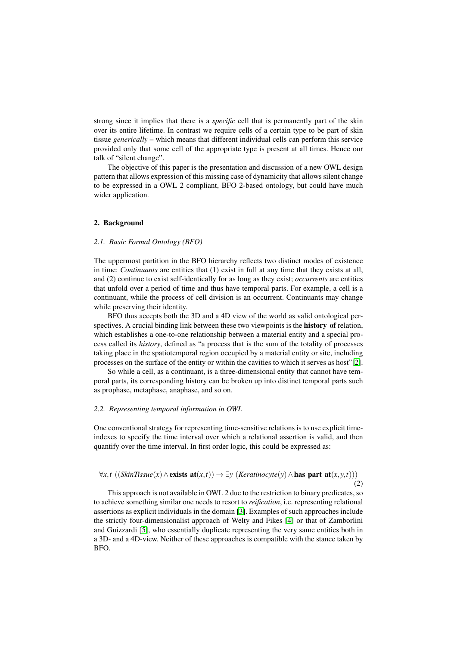strong since it implies that there is a *specific* cell that is permanently part of the skin over its entire lifetime. In contrast we require cells of a certain type to be part of skin tissue *generically* – which means that different individual cells can perform this service provided only that some cell of the appropriate type is present at all times. Hence our talk of "silent change".

The objective of this paper is the presentation and discussion of a new OWL design pattern that allows expression of this missing case of dynamicity that allows silent change to be expressed in a OWL 2 compliant, BFO 2-based ontology, but could have much wider application.

## 2. Background

## *2.1. Basic Formal Ontology (BFO)*

The uppermost partition in the BFO hierarchy reflects two distinct modes of existence in time: *Continuants* are entities that (1) exist in full at any time that they exists at all, and (2) continue to exist self-identically for as long as they exist; *occurrents* are entities that unfold over a period of time and thus have temporal parts. For example, a cell is a continuant, while the process of cell division is an occurrent. Continuants may change while preserving their identity.

BFO thus accepts both the 3D and a 4D view of the world as valid ontological perspectives. A crucial binding link between these two viewpoints is the **history of** relation, which establishes a one-to-one relationship between a material entity and a special process called its *history*, defined as "a process that is the sum of the totality of processes taking place in the spatiotemporal region occupied by a material entity or site, including processes on the surface of the entity or within the cavities to which it serves as host"[\[2\]](#page-4-1).

So while a cell, as a continuant, is a three-dimensional entity that cannot have temporal parts, its corresponding history can be broken up into distinct temporal parts such as prophase, metaphase, anaphase, and so on.

## *2.2. Representing temporal information in OWL*

One conventional strategy for representing time-sensitive relations is to use explicit timeindexes to specify the time interval over which a relational assertion is valid, and then quantify over the time interval. In first order logic, this could be expressed as:

## $\forall x, t$  ((*SkinTissue*(*x*)∧exists\_at(*x*,*t*)) →  $\exists y$  (*Keratinocyte*(*y*)∧**has\_part\_at**(*x*, *y*,*t*))) (2)

This approach is not available in OWL 2 due to the restriction to binary predicates, so to achieve something similar one needs to resort to *reification*, i.e. representing relational assertions as explicit individuals in the domain [\[3\]](#page-4-2). Examples of such approaches include the strictly four-dimensionalist approach of Welty and Fikes [\[4\]](#page-4-3) or that of Zamborlini and Guizzardi [\[5\]](#page-4-4), who essentially duplicate representing the very same entities both in a 3D- and a 4D-view. Neither of these approaches is compatible with the stance taken by BFO.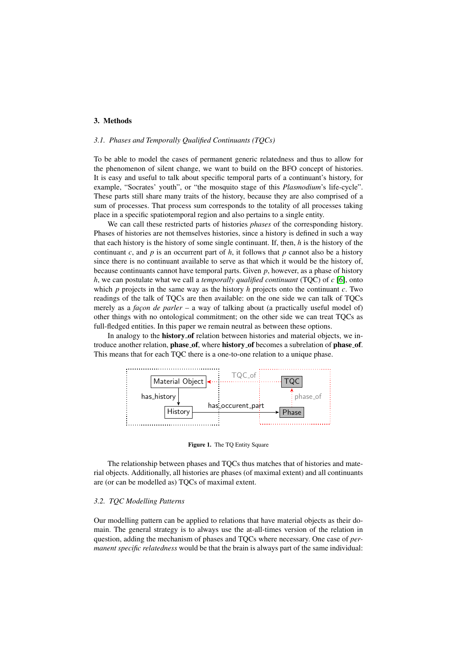# 3. Methods

## *3.1. Phases and Temporally Qualified Continuants (TQCs)*

To be able to model the cases of permanent generic relatedness and thus to allow for the phenomenon of silent change, we want to build on the BFO concept of histories. It is easy and useful to talk about specific temporal parts of a continuant's history, for example, "Socrates' youth", or "the mosquito stage of this *Plasmodium*'s life-cycle". These parts still share many traits of the history, because they are also comprised of a sum of processes. That process sum corresponds to the totality of all processes taking place in a specific spatiotemporal region and also pertains to a single entity.

We can call these restricted parts of histories *phases* of the corresponding history. Phases of histories are not themselves histories, since a history is defined in such a way that each history is the history of some single continuant. If, then, *h* is the history of the continuant *c*, and *p* is an occurrent part of *h*, it follows that *p* cannot also be a history since there is no continuant available to serve as that which it would be the history of, because continuants cannot have temporal parts. Given *p*, however, as a phase of history *h*, we can postulate what we call a *temporally qualified continuant* (TQC) of *c* [\[6\]](#page-4-5), onto which *p* projects in the same way as the history *h* projects onto the continuant *c*. Two readings of the talk of TQCs are then available: on the one side we can talk of TQCs merely as a *facon de parler* – a way of talking about (a practically useful model of) other things with no ontological commitment; on the other side we can treat TQCs as full-fledged entities. In this paper we remain neutral as between these options.

In analogy to the **history of** relation between histories and material objects, we introduce another relation, **phase\_of**, where **history\_of** becomes a subrelation of **phase\_of**. This means that for each TQC there is a one-to-one relation to a unique phase.



Figure 1. The TQ Entity Square

The relationship between phases and TQCs thus matches that of histories and material objects. Additionally, all histories are phases (of maximal extent) and all continuants are (or can be modelled as) TQCs of maximal extent.

## *3.2. TQC Modelling Patterns*

Our modelling pattern can be applied to relations that have material objects as their domain. The general strategy is to always use the at-all-times version of the relation in question, adding the mechanism of phases and TQCs where necessary. One case of *permanent specific relatedness* would be that the brain is always part of the same individual: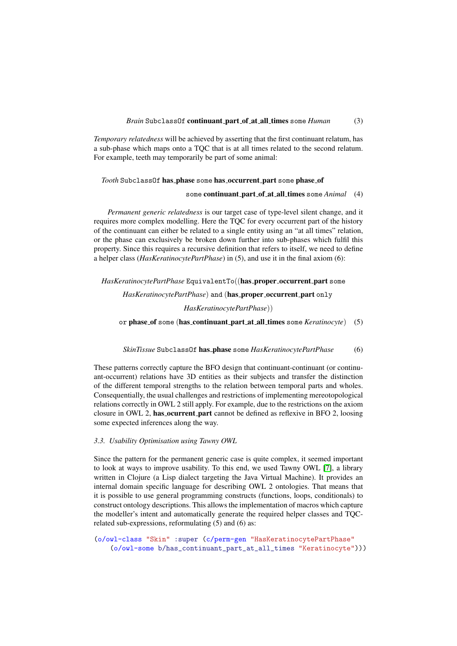*Temporary relatedness* will be achieved by asserting that the first continuant relatum, has a sub-phase which maps onto a TQC that is at all times related to the second relatum. For example, teeth may temporarily be part of some animal:

#### *Tooth* SubclassOf has phase some has occurrent part some phase of

## some **continuant\_part\_of\_at\_all\_times** some *Animal* (4)

*Permanent generic relatedness* is our target case of type-level silent change, and it requires more complex modelling. Here the TQC for every occurrent part of the history of the continuant can either be related to a single entity using an "at all times" relation, or the phase can exclusively be broken down further into sub-phases which fulfil this property. Since this requires a recursive definition that refers to itself, we need to define a helper class (*HasKeratinocytePartPhase*) in (5), and use it in the final axiom (6):

HasKeratinocytePartPhase EquivalentTo((has\_proper\_occurrent\_part some

*HasKeratinocytePartPhase*) and (has\_proper\_occurrent\_part only

*HasKeratinocytePartPhase*))

or phase of some (has continuant part at all times some *Keratinocyte*) (5)

# *SkinTissue* SubclassOf has phase some *HasKeratinocytePartPhase* (6)

These patterns correctly capture the BFO design that continuant-continuant (or continuant-occurrent) relations have 3D entities as their subjects and transfer the distinction of the different temporal strengths to the relation between temporal parts and wholes. Consequentially, the usual challenges and restrictions of implementing mereotopological relations correctly in OWL 2 still apply. For example, due to the restrictions on the axiom closure in OWL 2, has ocurrent part cannot be defined as reflexive in BFO 2, loosing some expected inferences along the way.

#### *3.3. Usability Optimisation using Tawny OWL*

Since the pattern for the permanent generic case is quite complex, it seemed important to look at ways to improve usability. To this end, we used Tawny OWL [\[7\]](#page-4-6), a library written in Clojure (a Lisp dialect targeting the Java Virtual Machine). It provides an internal domain specific language for describing OWL 2 ontologies. That means that it is possible to use general programming constructs (functions, loops, conditionals) to construct ontology descriptions. This allows the implementation of macros which capture the modeller's intent and automatically generate the required helper classes and TQCrelated sub-expressions, reformulating (5) and (6) as:

(o/owl-class "Skin" :super (c/perm-gen "HasKeratinocytePartPhase" (o/owl-some b/has\_continuant\_part\_at\_all\_times "Keratinocyte")))